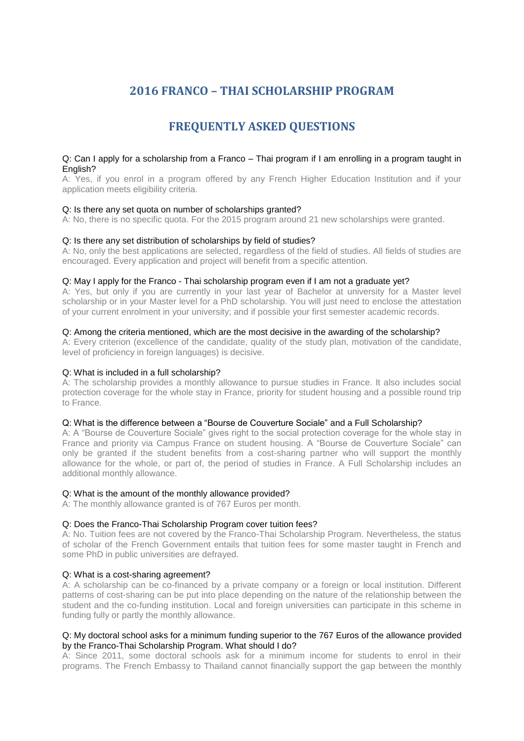# **2016 FRANCO – THAI SCHOLARSHIP PROGRAM**

# **FREQUENTLY ASKED QUESTIONS**

### Q: Can I apply for a scholarship from a Franco – Thai program if I am enrolling in a program taught in English?

A: Yes, if you enrol in a program offered by any French Higher Education Institution and if your application meets eligibility criteria.

# Q: Is there any set quota on number of scholarships granted?

A: No, there is no specific quota. For the 2015 program around 21 new scholarships were granted.

# Q: Is there any set distribution of scholarships by field of studies?

A: No, only the best applications are selected, regardless of the field of studies. All fields of studies are encouraged. Every application and project will benefit from a specific attention.

#### Q: May I apply for the Franco - Thai scholarship program even if I am not a graduate yet?

A: Yes, but only if you are currently in your last year of Bachelor at university for a Master level scholarship or in your Master level for a PhD scholarship. You will just need to enclose the attestation of your current enrolment in your university; and if possible your first semester academic records.

# Q: Among the criteria mentioned, which are the most decisive in the awarding of the scholarship?

A: Every criterion (excellence of the candidate, quality of the study plan, motivation of the candidate, level of proficiency in foreign languages) is decisive.

### Q: What is included in a full scholarship?

A: The scholarship provides a monthly allowance to pursue studies in France. It also includes social protection coverage for the whole stay in France, priority for student housing and a possible round trip to France.

### Q: What is the difference between a "Bourse de Couverture Sociale" and a Full Scholarship?

A: A "Bourse de Couverture Sociale" gives right to the social protection coverage for the whole stay in France and priority via Campus France on student housing. A "Bourse de Couverture Sociale" can only be granted if the student benefits from a cost-sharing partner who will support the monthly allowance for the whole, or part of, the period of studies in France. A Full Scholarship includes an additional monthly allowance.

#### Q: What is the amount of the monthly allowance provided?

A: The monthly allowance granted is of 767 Euros per month.

#### Q: Does the Franco-Thai Scholarship Program cover tuition fees?

A: No. Tuition fees are not covered by the Franco-Thai Scholarship Program. Nevertheless, the status of scholar of the French Government entails that tuition fees for some master taught in French and some PhD in public universities are defrayed.

# Q: What is a cost-sharing agreement?

A: A scholarship can be co-financed by a private company or a foreign or local institution. Different patterns of cost-sharing can be put into place depending on the nature of the relationship between the student and the co-funding institution. Local and foreign universities can participate in this scheme in funding fully or partly the monthly allowance.

# Q: My doctoral school asks for a minimum funding superior to the 767 Euros of the allowance provided by the Franco-Thai Scholarship Program. What should I do?

A: Since 2011, some doctoral schools ask for a minimum income for students to enrol in their programs. The French Embassy to Thailand cannot financially support the gap between the monthly